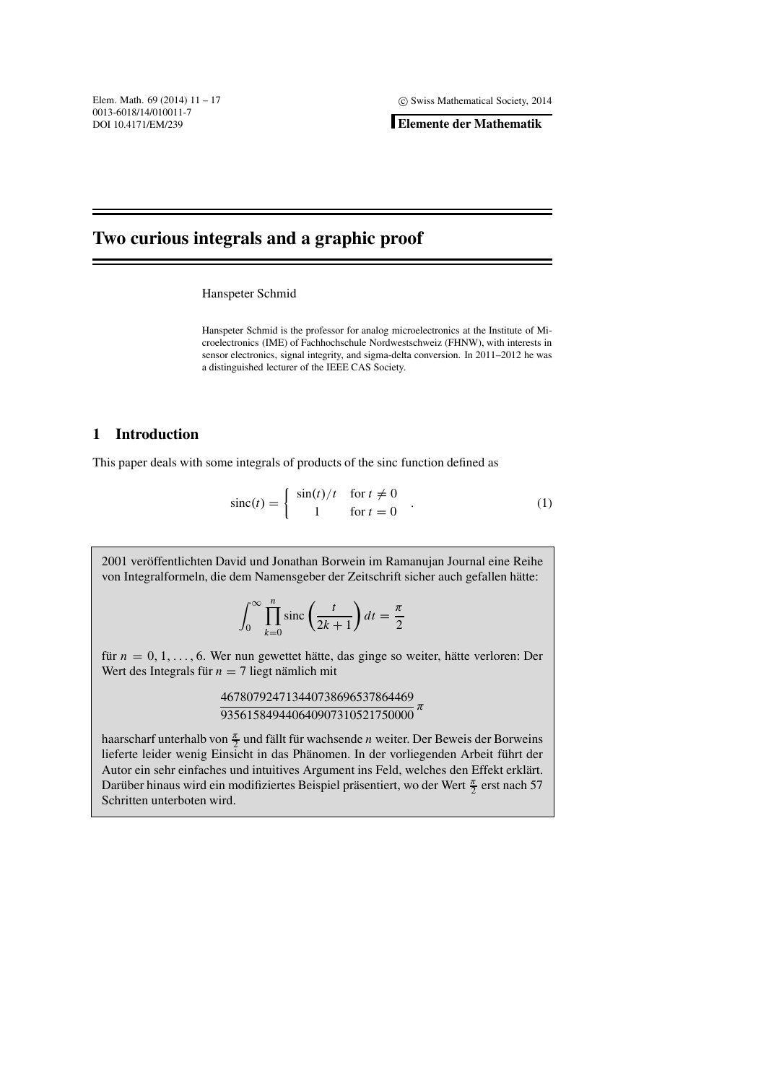**Elemente der Mathematik**

# **Two curious integrals and a graphic proof**

Hanspeter Schmid

Hanspeter Schmid is the professor for analog microelectronics at the Institute of Microelectronics (IME) of Fachhochschule Nordwestschweiz (FHNW), with interests in sensor electronics, signal integrity, and sigma-delta conversion. In 2011–2012 he was a distinguished lecturer of the IEEE CAS Society.

### **1 Introduction**

.

This paper deals with some integrals of products of the sinc function defined as

$$
\text{sinc}(t) = \begin{cases} \sin(t)/t & \text{for } t \neq 0 \\ 1 & \text{for } t = 0 \end{cases} \tag{1}
$$

2001 veröffentlichten David und Jonathan Borwein im Ramanujan Journal eine Reihe von Integralformeln, die dem Namensgeber der Zeitschrift sicher auch gefallen hätte:

$$
\int_0^\infty \prod_{k=0}^n \text{sinc}\left(\frac{t}{2k+1}\right) dt = \frac{\pi}{2}
$$

für  $n = 0, 1, \ldots, 6$ . Wer nun gewettet hätte, das ginge so weiter, hätte verloren: Der Wert des Integrals für  $n = 7$  liegt nämlich mit

> 467807924713440738696537864469  $\frac{1818875211121186856661661165}{7}$   $\pi$

haarscharf unterhalb von  $\frac{\pi}{2}$  und fällt für wachsende *n* weiter. Der Beweis der Borweins lieferte leider wenig Einsicht in das Phänomen. In der vorliegenden Arbeit führt der Autor ein sehr einfaches und intuitives Argument ins Feld, welches den Effekt erklärt. Darüber hinaus wird ein modifiziertes Beispiel präsentiert, wo der Wert  $\frac{\pi}{2}$  erst nach 57 Schritten unterboten wird.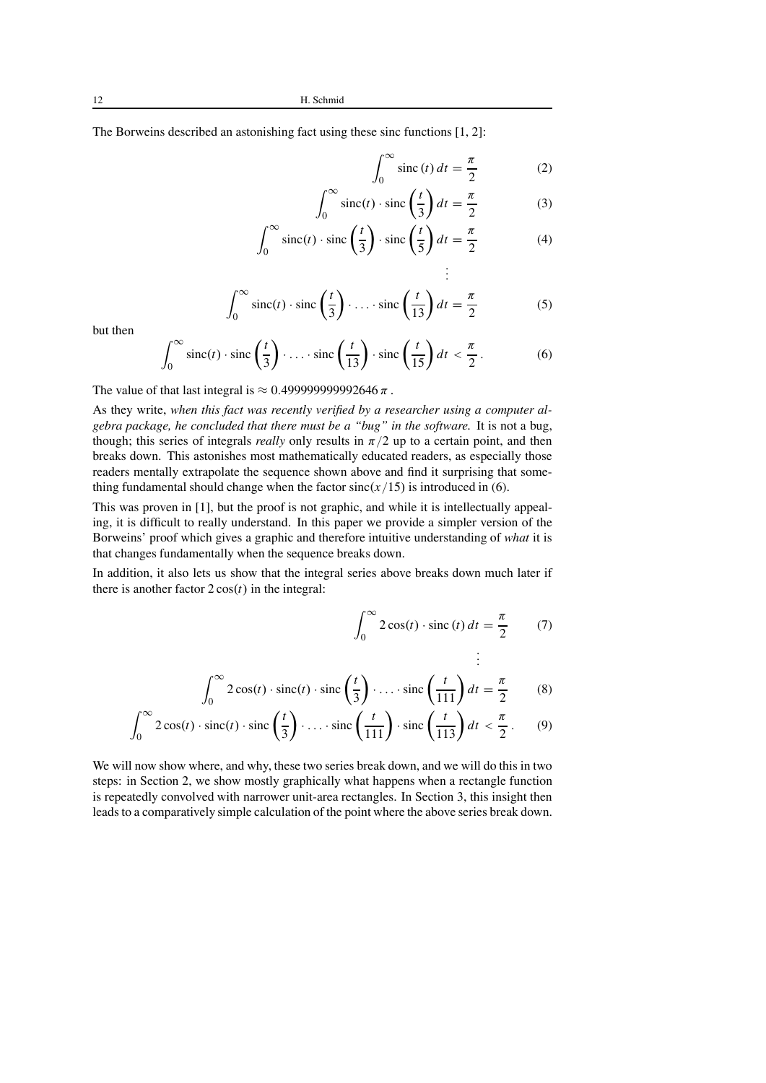<sup>∞</sup>

The Borweins described an astonishing fact using these sinc functions [1, 2]:

$$
\int_0^\infty \operatorname{sinc}(t) dt = \frac{\pi}{2} \tag{2}
$$

$$
\int_0^\infty \operatorname{sinc}(t) \cdot \operatorname{sinc}\left(\frac{t}{3}\right) dt = \frac{\pi}{2} \tag{3}
$$

$$
\int_0^\infty \operatorname{sinc}(t) \cdot \operatorname{sinc}\left(\frac{t}{3}\right) \cdot \operatorname{sinc}\left(\frac{t}{5}\right) dt = \frac{\pi}{2} \tag{4}
$$

$$
\int_0^\infty \operatorname{sinc}(t) \cdot \operatorname{sinc}\left(\frac{t}{3}\right) \cdot \ldots \cdot \operatorname{sinc}\left(\frac{t}{13}\right) dt = \frac{\pi}{2}
$$
 (5)

but then

$$
\int_0^\infty \operatorname{sinc}(t) \cdot \operatorname{sinc}\left(\frac{t}{3}\right) \cdot \ldots \cdot \operatorname{sinc}\left(\frac{t}{13}\right) \cdot \operatorname{sinc}\left(\frac{t}{15}\right) dt < \frac{\pi}{2}.
$$
 (6)

The value of that last integral is  $\approx 0.499999999992646 \pi$ .

As they write, *when this fact was recently verified by a researcher using a computer algebra package, he concluded that there must be a "bug" in the software.* It is not a bug, though; this series of integrals *really* only results in  $\pi/2$  up to a certain point, and then breaks down. This astonishes most mathematically educated readers, as especially those readers mentally extrapolate the sequence shown above and find it surprising that something fundamental should change when the factor  $sinc(x/15)$  is introduced in (6).

This was proven in [1], but the proof is not graphic, and while it is intellectually appealing, it is difficult to really understand. In this paper we provide a simpler version of the Borweins' proof which gives a graphic and therefore intuitive understanding of *what* it is that changes fundamentally when the sequence breaks down.

In addition, it also lets us show that the integral series above breaks down much later if there is another factor  $2 \cos(t)$  in the integral:

$$
\int_0^\infty 2\cos(t) \cdot \operatorname{sinc}(t) dt = \frac{\pi}{2} \qquad (7)
$$

$$
\vdots
$$

$$
\int_0^\infty 2\cos(t) \cdot \operatorname{sinc}(t) \cdot \operatorname{sinc}\left(\frac{t}{3}\right) \cdot \ldots \cdot \operatorname{sinc}\left(\frac{t}{111}\right) dt = \frac{\pi}{2} \qquad (8)
$$

$$
\int_0^\infty 2\cos(t) \cdot \mathrm{sinc}(t) \cdot \mathrm{sinc}\left(\frac{t}{3}\right) \cdot \ldots \cdot \mathrm{sinc}\left(\frac{t}{111}\right) \cdot \mathrm{sinc}\left(\frac{t}{113}\right) dt < \frac{\pi}{2}.
$$
 (9)

We will now show where, and why, these two series break down, and we will do this in two steps: in Section 2, we show mostly graphically what happens when a rectangle function is repeatedly convolved with narrower unit-area rectangles. In Section 3, this insight then leads to a comparativelysimple calculation of the point where the above series break down.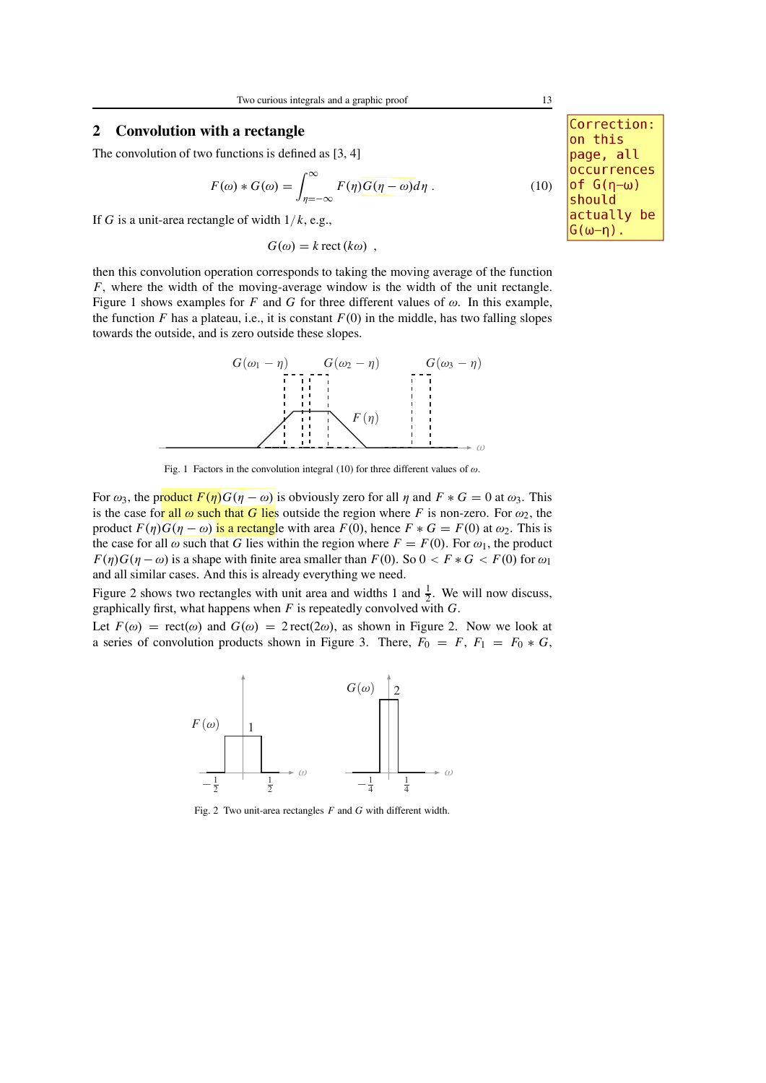## **2 Convolution with a rectangle**

The convolution of two functions is defined as [3, 4]

$$
F(\omega) * G(\omega) = \int_{\eta = -\infty}^{\infty} F(\eta)G(\eta - \omega)d\eta .
$$
 (10)

If *G* is a unit-area rectangle of width 1/*k*, e.g.,

 $G(\omega) = k \text{ rect}(k\omega)$ ,

then this convolution operation corresponds to taking the moving average of the function *F*, where the width of the moving-average window is the width of the unit rectangle. Figure 1 shows examples for *F* and *G* for three different values of  $\omega$ . In this example, the function  $F$  has a plateau, i.e., it is constant  $F(0)$  in the middle, has two falling slopes towards the outside, and is zero outside these slopes.



Fig. 1 Factors in the convolution integral (10) for three different values of  $\omega$ .

For  $\omega_3$ , the product  $F(\eta)G(\eta - \omega)$  is obviously zero for all  $\eta$  and  $F * G = 0$  at  $\omega_3$ . This is the case for all  $\omega$  such that *G* lies outside the region where *F* is non-zero. For  $\omega_2$ , the product  $F(\eta)G(\eta - \omega)$  is a rectangle with area  $F(0)$ , hence  $F * G = F(0)$  at  $\omega_2$ . This is the case for all  $\omega$  such that *G* lies within the region where  $F = F(0)$ . For  $\omega_1$ , the product  $F(\eta)G(\eta - \omega)$  is a shape with finite area smaller than  $F(0)$ . So  $0 \leq F * G \leq F(0)$  for  $\omega_1$ and all similar cases. And this is already everything we need.

Figure 2 shows two rectangles with unit area and widths 1 and  $\frac{1}{2}$ . We will now discuss, graphically first, what happens when *F* is repeatedly convolved with *G*.

Let  $F(\omega) = \text{rect}(\omega)$  and  $G(\omega) = 2 \text{rect}(2\omega)$ , as shown in Figure 2. Now we look at a series of convolution products shown in Figure 3. There,  $F_0 = F$ ,  $F_1 = F_0 * G$ ,



Fig. 2 Two unit-area rectangles *F* and *G* with different width.

Correction: on this page, all occurrences of  $G(\eta-\omega)$ should actually be  $G(\omega-\eta)$ .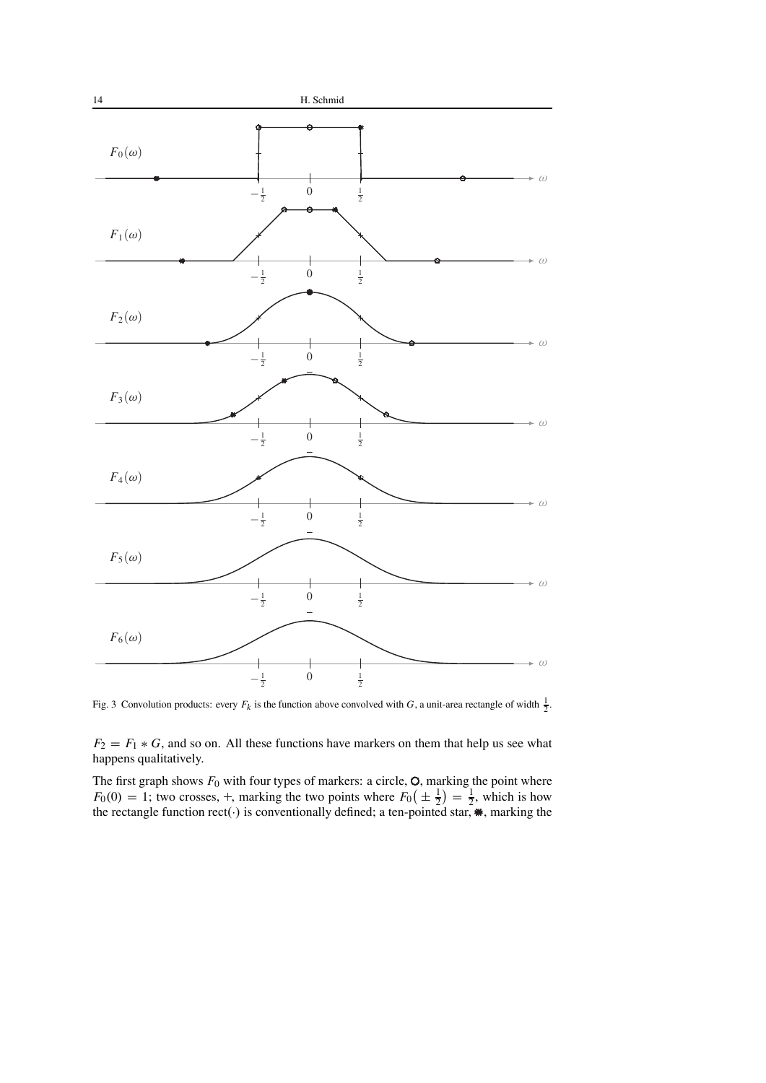

Fig. 3 Convolution products: every  $F_k$  is the function above convolved with *G*, a unit-area rectangle of width  $\frac{1}{2}$ .

 $F_2 = F_1 * G$ , and so on. All these functions have markers on them that help us see what happens qualitatively.

The first graph shows  $F_0$  with four types of markers: a circle,  $\circ$ , marking the point where  $F_0(0) = 1$ ; two crosses, +, marking the two points where  $F_0(\pm \frac{1}{2}) = \frac{1}{2}$ , which is how the rectangle function rect(·) is conventionally defined; a ten-pointed star,  $\ast$ , marking the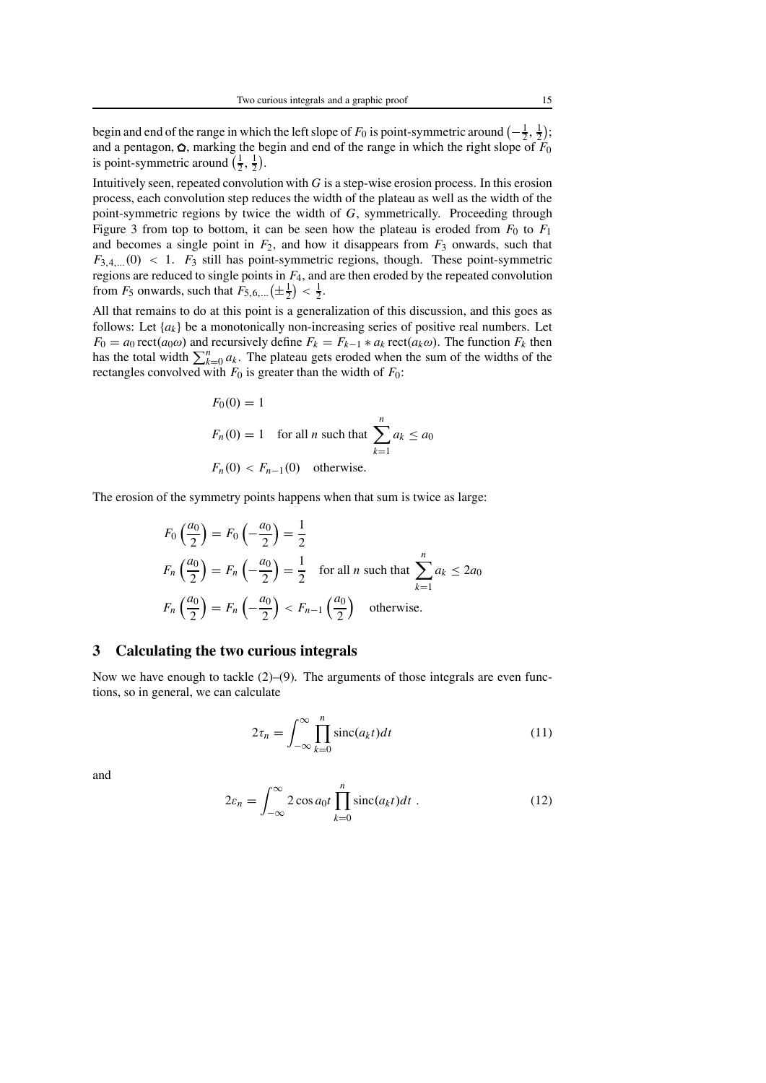begin and end of the range in which the left slope of  $F_0$  is point-symmetric around  $\left(-\frac{1}{2},\frac{1}{2}\right)$ ; and a pentagon,  $\Omega$ , marking the begin and end of the range in which the right slope of  $F_0$ is point-symmetric around  $(\frac{1}{2}, \frac{1}{2})$ .

Intuitively seen, repeated convolution with  $G$  is a step-wise erosion process. In this erosion process, each convolution step reduces the width of the plateau as well as the width of the point-symmetric regions by twice the width of *G*, symmetrically. Proceeding through Figure 3 from top to bottom, it can be seen how the plateau is eroded from  $F_0$  to  $F_1$ and becomes a single point in  $F_2$ , and how it disappears from  $F_3$  onwards, such that  $F_{3,4,...}(0)$  < 1.  $F_3$  still has point-symmetric regions, though. These point-symmetric regions are reduced to single points in *F*4, and are then eroded by the repeated convolution from  $F_5$  onwards, such that  $\overline{F}_{5,6,\dots}(\pm \frac{1}{2}) < \frac{1}{2}$ .

All that remains to do at this point is a generalization of this discussion, and this goes as follows: Let  $\{a_k\}$  be a monotonically non-increasing series of positive real numbers. Let  $F_0 = a_0 \operatorname{rect}(a_0 \omega)$  and recursively define  $F_k = F_{k-1} * a_k \operatorname{rect}(a_k \omega)$ . The function  $F_k$  then has the total width  $\sum_{k=0}^{n} a_k$ . The plateau gets eroded when the sum of the widths of the rectangles convolved with  $F_0$  is greater than the width of  $F_0$ :

$$
F_0(0) = 1
$$
  
\n
$$
F_n(0) = 1 \quad \text{for all } n \text{ such that } \sum_{k=1}^n a_k \le a_0
$$
  
\n
$$
F_n(0) < F_{n-1}(0) \quad \text{otherwise.}
$$

The erosion of the symmetry points happens when that sum is twice as large:

$$
F_0\left(\frac{a_0}{2}\right) = F_0\left(-\frac{a_0}{2}\right) = \frac{1}{2}
$$
  
\n
$$
F_n\left(\frac{a_0}{2}\right) = F_n\left(-\frac{a_0}{2}\right) = \frac{1}{2} \quad \text{for all } n \text{ such that } \sum_{k=1}^n a_k \le 2a_0
$$
  
\n
$$
F_n\left(\frac{a_0}{2}\right) = F_n\left(-\frac{a_0}{2}\right) < F_{n-1}\left(\frac{a_0}{2}\right) \quad \text{otherwise.}
$$

#### **3 Calculating the two curious integrals**

Now we have enough to tackle  $(2)$ – $(9)$ . The arguments of those integrals are even functions, so in general, we can calculate

$$
2\tau_n = \int_{-\infty}^{\infty} \prod_{k=0}^{n} \text{sinc}(a_k t) dt
$$
 (11)

and

$$
2\varepsilon_n = \int_{-\infty}^{\infty} 2\cos a_0 t \prod_{k=0}^n \text{sinc}(a_k t) dt . \qquad (12)
$$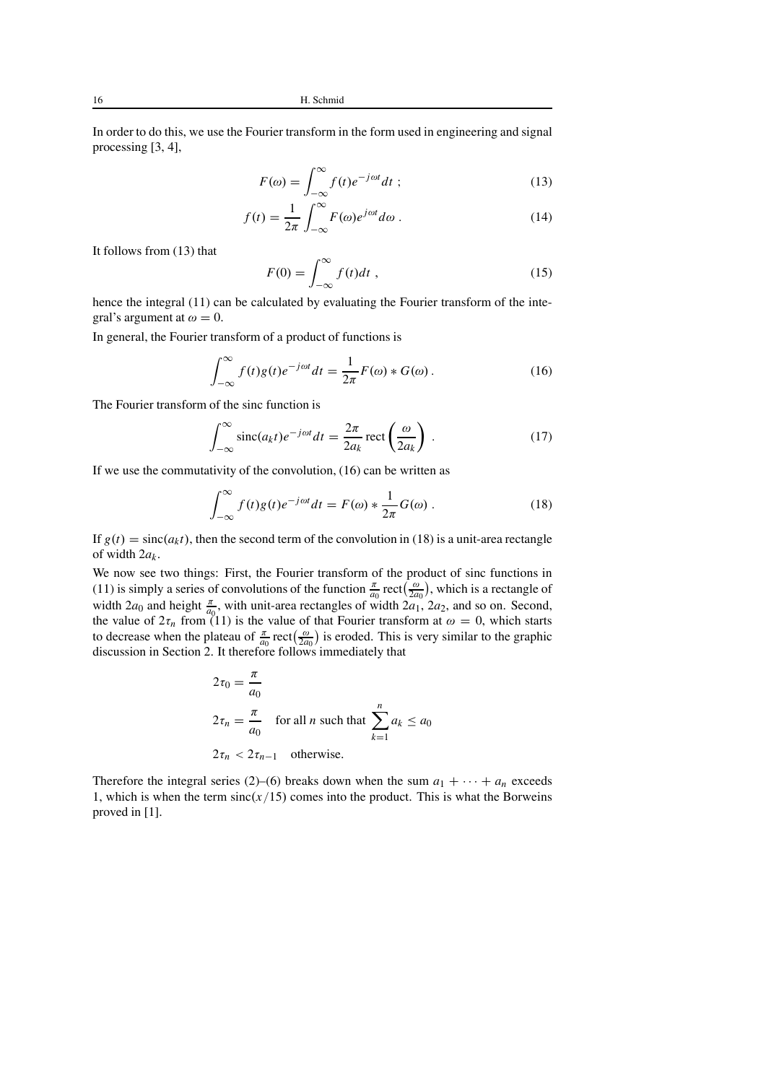16 H. Schmid

In order to do this, we use the Fourier transform in the form used in engineering and signal processing [3, 4],

$$
F(\omega) = \int_{-\infty}^{\infty} f(t)e^{-j\omega t}dt \tag{13}
$$

$$
f(t) = \frac{1}{2\pi} \int_{-\infty}^{\infty} F(\omega) e^{j\omega t} d\omega.
$$
 (14)

It follows from (13) that

$$
F(0) = \int_{-\infty}^{\infty} f(t)dt,
$$
\n(15)

hence the integral (11) can be calculated by evaluating the Fourier transform of the integral's argument at  $\omega = 0$ .

In general, the Fourier transform of a product of functions is

$$
\int_{-\infty}^{\infty} f(t)g(t)e^{-j\omega t}dt = \frac{1}{2\pi}F(\omega) * G(\omega).
$$
 (16)

The Fourier transform of the sinc function is

$$
\int_{-\infty}^{\infty} \operatorname{sinc}(a_k t) e^{-j\omega t} dt = \frac{2\pi}{2a_k} \operatorname{rect}\left(\frac{\omega}{2a_k}\right) . \tag{17}
$$

If we use the commutativity of the convolution, (16) can be written as

$$
\int_{-\infty}^{\infty} f(t)g(t)e^{-j\omega t}dt = F(\omega) * \frac{1}{2\pi}G(\omega).
$$
 (18)

If  $g(t) = \text{sinc}(a_k t)$ , then the second term of the convolution in (18) is a unit-area rectangle of width 2*ak*.

We now see two things: First, the Fourier transform of the product of sinc functions in (11) is simply a series of convolutions of the function  $\frac{\pi}{a_0}$  rect $\left(\frac{\omega}{2a_0}\right)$ , which is a rectangle of width 2*a*<sub>0</sub> and height  $\frac{\pi}{a_0}$ , with unit-area rectangles of width 2*a*<sub>1</sub>, 2*a*<sub>2</sub>, and so on. Second, the value of  $2\tau_n$  from (11) is the value of that Fourier transform at  $\omega = 0$ , which starts to decrease when the plateau of  $\frac{\pi}{a_0}$  rect $\left(\frac{\omega}{2a_0}\right)$  is eroded. This is very similar to the graphic discussion in Section 2. It therefore follows immediately that

$$
2\tau_0 = \frac{\pi}{a_0}
$$
  
\n
$$
2\tau_n = \frac{\pi}{a_0} \quad \text{for all } n \text{ such that } \sum_{k=1}^n a_k \le a_0
$$
  
\n
$$
2\tau_n < 2\tau_{n-1} \quad \text{otherwise.}
$$

Therefore the integral series (2)–(6) breaks down when the sum  $a_1 + \cdots + a_n$  exceeds 1, which is when the term  $sinc(x/15)$  comes into the product. This is what the Borweins proved in [1].